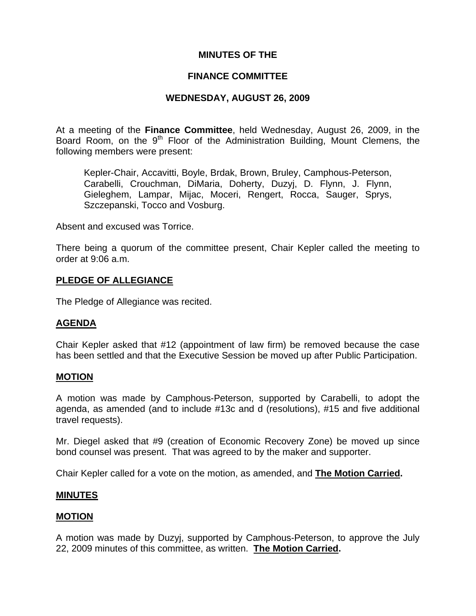## **MINUTES OF THE**

### **FINANCE COMMITTEE**

## **WEDNESDAY, AUGUST 26, 2009**

At a meeting of the **Finance Committee**, held Wednesday, August 26, 2009, in the Board Room, on the  $9<sup>th</sup>$  Floor of the Administration Building, Mount Clemens, the following members were present:

Kepler-Chair, Accavitti, Boyle, Brdak, Brown, Bruley, Camphous-Peterson, Carabelli, Crouchman, DiMaria, Doherty, Duzyj, D. Flynn, J. Flynn, Gieleghem, Lampar, Mijac, Moceri, Rengert, Rocca, Sauger, Sprys, Szczepanski, Tocco and Vosburg.

Absent and excused was Torrice.

There being a quorum of the committee present, Chair Kepler called the meeting to order at 9:06 a.m.

### **PLEDGE OF ALLEGIANCE**

The Pledge of Allegiance was recited.

### **AGENDA**

Chair Kepler asked that #12 (appointment of law firm) be removed because the case has been settled and that the Executive Session be moved up after Public Participation.

### **MOTION**

A motion was made by Camphous-Peterson, supported by Carabelli, to adopt the agenda, as amended (and to include #13c and d (resolutions), #15 and five additional travel requests).

Mr. Diegel asked that #9 (creation of Economic Recovery Zone) be moved up since bond counsel was present. That was agreed to by the maker and supporter.

Chair Kepler called for a vote on the motion, as amended, and **The Motion Carried.** 

### **MINUTES**

### **MOTION**

A motion was made by Duzyj, supported by Camphous-Peterson, to approve the July 22, 2009 minutes of this committee, as written. **The Motion Carried.**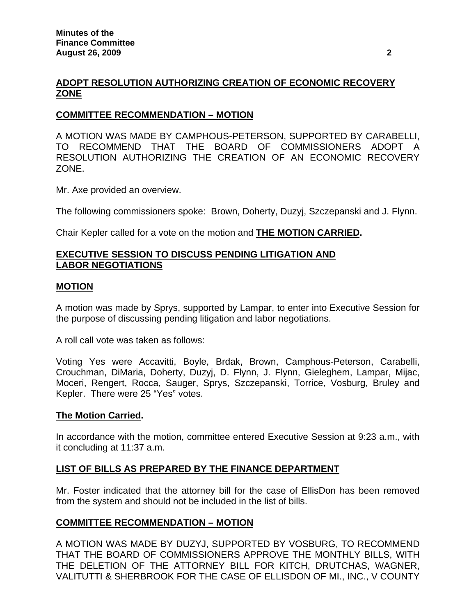# **ADOPT RESOLUTION AUTHORIZING CREATION OF ECONOMIC RECOVERY ZONE**

# **COMMITTEE RECOMMENDATION – MOTION**

A MOTION WAS MADE BY CAMPHOUS-PETERSON, SUPPORTED BY CARABELLI, TO RECOMMEND THAT THE BOARD OF COMMISSIONERS ADOPT A RESOLUTION AUTHORIZING THE CREATION OF AN ECONOMIC RECOVERY ZONE.

Mr. Axe provided an overview.

The following commissioners spoke: Brown, Doherty, Duzyj, Szczepanski and J. Flynn.

Chair Kepler called for a vote on the motion and **THE MOTION CARRIED.** 

## **EXECUTIVE SESSION TO DISCUSS PENDING LITIGATION AND LABOR NEGOTIATIONS**

### **MOTION**

A motion was made by Sprys, supported by Lampar, to enter into Executive Session for the purpose of discussing pending litigation and labor negotiations.

A roll call vote was taken as follows:

Voting Yes were Accavitti, Boyle, Brdak, Brown, Camphous-Peterson, Carabelli, Crouchman, DiMaria, Doherty, Duzyj, D. Flynn, J. Flynn, Gieleghem, Lampar, Mijac, Moceri, Rengert, Rocca, Sauger, Sprys, Szczepanski, Torrice, Vosburg, Bruley and Kepler. There were 25 "Yes" votes.

### **The Motion Carried.**

In accordance with the motion, committee entered Executive Session at 9:23 a.m., with it concluding at 11:37 a.m.

## **LIST OF BILLS AS PREPARED BY THE FINANCE DEPARTMENT**

Mr. Foster indicated that the attorney bill for the case of EllisDon has been removed from the system and should not be included in the list of bills.

## **COMMITTEE RECOMMENDATION – MOTION**

A MOTION WAS MADE BY DUZYJ, SUPPORTED BY VOSBURG, TO RECOMMEND THAT THE BOARD OF COMMISSIONERS APPROVE THE MONTHLY BILLS, WITH THE DELETION OF THE ATTORNEY BILL FOR KITCH, DRUTCHAS, WAGNER, VALITUTTI & SHERBROOK FOR THE CASE OF ELLISDON OF MI., INC., V COUNTY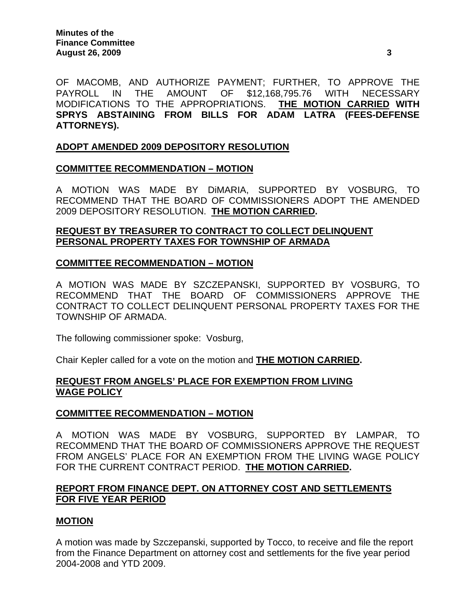OF MACOMB, AND AUTHORIZE PAYMENT; FURTHER, TO APPROVE THE PAYROLL IN THE AMOUNT OF \$12,168,795.76 WITH NECESSARY MODIFICATIONS TO THE APPROPRIATIONS. **THE MOTION CARRIED WITH SPRYS ABSTAINING FROM BILLS FOR ADAM LATRA (FEES-DEFENSE ATTORNEYS).** 

# **ADOPT AMENDED 2009 DEPOSITORY RESOLUTION**

### **COMMITTEE RECOMMENDATION – MOTION**

A MOTION WAS MADE BY DiMARIA, SUPPORTED BY VOSBURG, TO RECOMMEND THAT THE BOARD OF COMMISSIONERS ADOPT THE AMENDED 2009 DEPOSITORY RESOLUTION. **THE MOTION CARRIED.** 

## **REQUEST BY TREASURER TO CONTRACT TO COLLECT DELINQUENT PERSONAL PROPERTY TAXES FOR TOWNSHIP OF ARMADA**

### **COMMITTEE RECOMMENDATION – MOTION**

A MOTION WAS MADE BY SZCZEPANSKI, SUPPORTED BY VOSBURG, TO RECOMMEND THAT THE BOARD OF COMMISSIONERS APPROVE THE CONTRACT TO COLLECT DELINQUENT PERSONAL PROPERTY TAXES FOR THE TOWNSHIP OF ARMADA.

The following commissioner spoke: Vosburg,

Chair Kepler called for a vote on the motion and **THE MOTION CARRIED.**

### **REQUEST FROM ANGELS' PLACE FOR EXEMPTION FROM LIVING WAGE POLICY**

### **COMMITTEE RECOMMENDATION – MOTION**

A MOTION WAS MADE BY VOSBURG, SUPPORTED BY LAMPAR, TO RECOMMEND THAT THE BOARD OF COMMISSIONERS APPROVE THE REQUEST FROM ANGELS' PLACE FOR AN EXEMPTION FROM THE LIVING WAGE POLICY FOR THE CURRENT CONTRACT PERIOD. **THE MOTION CARRIED.** 

### **REPORT FROM FINANCE DEPT. ON ATTORNEY COST AND SETTLEMENTS FOR FIVE YEAR PERIOD**

### **MOTION**

A motion was made by Szczepanski, supported by Tocco, to receive and file the report from the Finance Department on attorney cost and settlements for the five year period 2004-2008 and YTD 2009.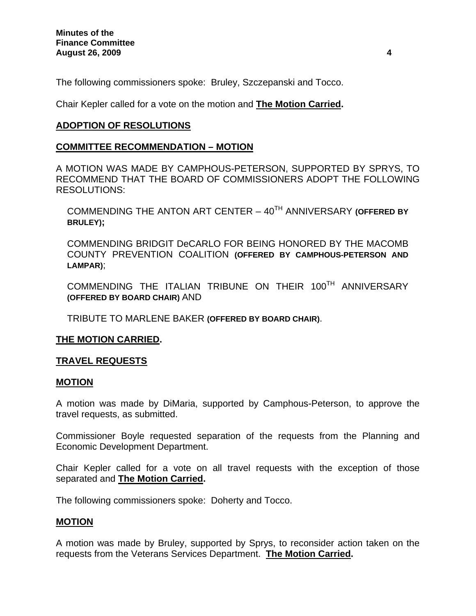The following commissioners spoke: Bruley, Szczepanski and Tocco.

Chair Kepler called for a vote on the motion and **The Motion Carried.** 

## **ADOPTION OF RESOLUTIONS**

### **COMMITTEE RECOMMENDATION – MOTION**

A MOTION WAS MADE BY CAMPHOUS-PETERSON, SUPPORTED BY SPRYS, TO RECOMMEND THAT THE BOARD OF COMMISSIONERS ADOPT THE FOLLOWING RESOLUTIONS:

COMMENDING THE ANTON ART CENTER – 40TH ANNIVERSARY **(OFFERED BY BRULEY);** 

COMMENDING BRIDGIT DeCARLO FOR BEING HONORED BY THE MACOMB COUNTY PREVENTION COALITION **(OFFERED BY CAMPHOUS-PETERSON AND LAMPAR)**;

COMMENDING THE ITALIAN TRIBUNE ON THEIR 100TH ANNIVERSARY **(OFFERED BY BOARD CHAIR)** AND

TRIBUTE TO MARLENE BAKER **(OFFERED BY BOARD CHAIR)**.

### **THE MOTION CARRIED.**

## **TRAVEL REQUESTS**

### **MOTION**

A motion was made by DiMaria, supported by Camphous-Peterson, to approve the travel requests, as submitted.

Commissioner Boyle requested separation of the requests from the Planning and Economic Development Department.

Chair Kepler called for a vote on all travel requests with the exception of those separated and **The Motion Carried.**

The following commissioners spoke: Doherty and Tocco.

### **MOTION**

A motion was made by Bruley, supported by Sprys, to reconsider action taken on the requests from the Veterans Services Department. **The Motion Carried.**